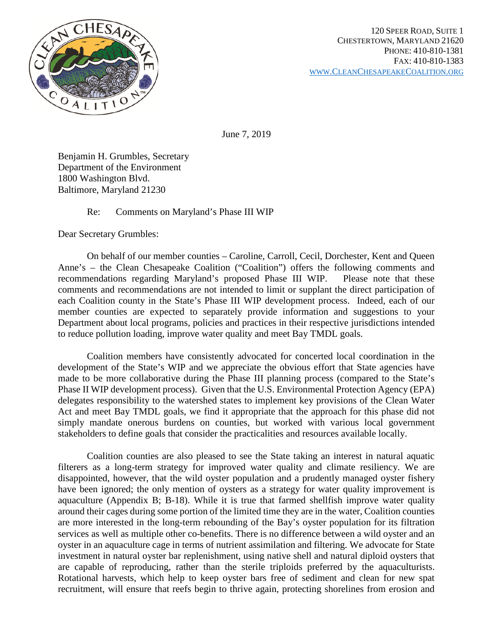

June 7, 2019

Benjamin H. Grumbles, Secretary Department of the Environment 1800 Washington Blvd. Baltimore, Maryland 21230

## Re: Comments on Maryland's Phase III WIP

Dear Secretary Grumbles:

On behalf of our member counties – Caroline, Carroll, Cecil, Dorchester, Kent and Queen Anne's – the Clean Chesapeake Coalition ("Coalition") offers the following comments and recommendations regarding Maryland's proposed Phase III WIP. Please note that these comments and recommendations are not intended to limit or supplant the direct participation of each Coalition county in the State's Phase III WIP development process. Indeed, each of our member counties are expected to separately provide information and suggestions to your Department about local programs, policies and practices in their respective jurisdictions intended to reduce pollution loading, improve water quality and meet Bay TMDL goals.

Coalition members have consistently advocated for concerted local coordination in the development of the State's WIP and we appreciate the obvious effort that State agencies have made to be more collaborative during the Phase III planning process (compared to the State's Phase II WIP development process). Given that the U.S. Environmental Protection Agency (EPA) delegates responsibility to the watershed states to implement key provisions of the Clean Water Act and meet Bay TMDL goals, we find it appropriate that the approach for this phase did not simply mandate onerous burdens on counties, but worked with various local government stakeholders to define goals that consider the practicalities and resources available locally.

Coalition counties are also pleased to see the State taking an interest in natural aquatic filterers as a long-term strategy for improved water quality and climate resiliency. We are disappointed, however, that the wild oyster population and a prudently managed oyster fishery have been ignored; the only mention of oysters as a strategy for water quality improvement is aquaculture (Appendix B; B-18). While it is true that farmed shellfish improve water quality around their cages during some portion of the limited time they are in the water, Coalition counties are more interested in the long-term rebounding of the Bay's oyster population for its filtration services as well as multiple other co-benefits. There is no difference between a wild oyster and an oyster in an aquaculture cage in terms of nutrient assimilation and filtering. We advocate for State investment in natural oyster bar replenishment, using native shell and natural diploid oysters that are capable of reproducing, rather than the sterile triploids preferred by the aquaculturists. Rotational harvests, which help to keep oyster bars free of sediment and clean for new spat recruitment, will ensure that reefs begin to thrive again, protecting shorelines from erosion and